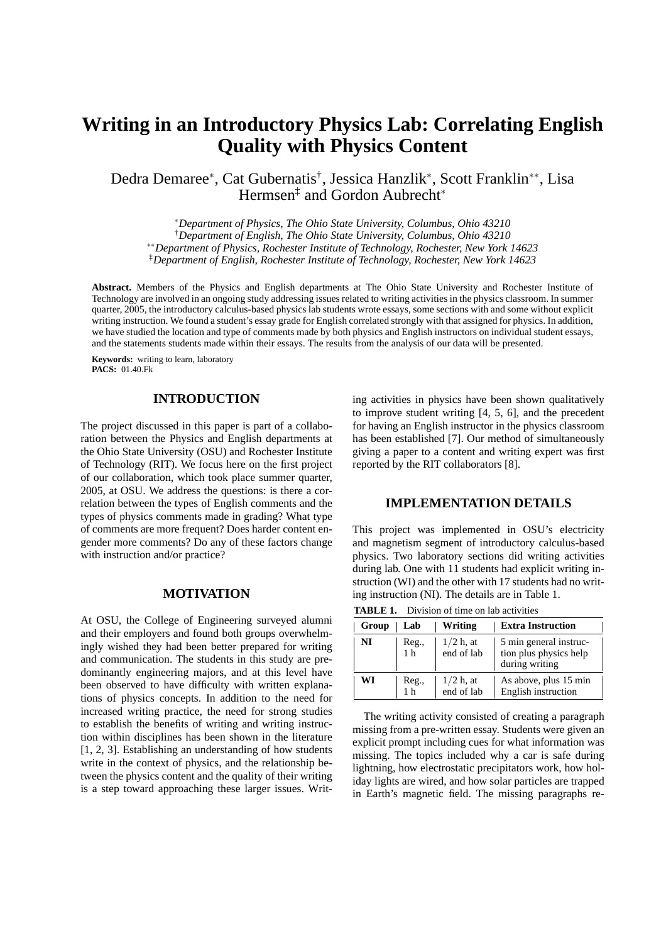# **Writing in an Introductory Physics Lab: Correlating English Quality with Physics Content**

Dedra Demaree<sup>∗</sup> , Cat Gubernatis† , Jessica Hanzlik<sup>∗</sup> , Scott Franklin∗∗, Lisa Hermsen<sup>‡</sup> and Gordon Aubrecht<sup>\*</sup>

<sup>∗</sup>*Department of Physics, The Ohio State University, Columbus, Ohio 43210* †*Department of English, The Ohio State University, Columbus, Ohio 43210* ∗∗*Department of Physics, Rochester Institute of Technology, Rochester, New York 14623* ‡*Department of English, Rochester Institute of Technology, Rochester, New York 14623*

**Abstract.** Members of the Physics and English departments at The Ohio State University and Rochester Institute of Technology are involved in an ongoing study addressing issues related to writing activities in the physics classroom. In summer quarter, 2005, the introductory calculus-based physics lab students wrote essays, some sections with and some without explicit writing instruction. We found a student's essay grade for English correlated strongly with that assigned for physics. In addition, we have studied the location and type of comments made by both physics and English instructors on individual student essays, and the statements students made within their essays. The results from the analysis of our data will be presented.

**Keywords:** writing to learn, laboratory **PACS:** 01.40.Fk

# **INTRODUCTION**

The project discussed in this paper is part of a collaboration between the Physics and English departments at the Ohio State University (OSU) and Rochester Institute of Technology (RIT). We focus here on the first project of our collaboration, which took place summer quarter, 2005, at OSU. We address the questions: is there a correlation between the types of English comments and the types of physics comments made in grading? What type of comments are more frequent? Does harder content engender more comments? Do any of these factors change with instruction and/or practice?

### **MOTIVATION**

At OSU, the College of Engineering surveyed alumni and their employers and found both groups overwhelmingly wished they had been better prepared for writing and communication. The students in this study are predominantly engineering majors, and at this level have been observed to have difficulty with written explanations of physics concepts. In addition to the need for increased writing practice, the need for strong studies to establish the benefits of writing and writing instruction within disciplines has been shown in the literature [1, 2, 3]. Establishing an understanding of how students write in the context of physics, and the relationship between the physics content and the quality of their writing is a step toward approaching these larger issues. Writing activities in physics have been shown qualitatively to improve student writing [4, 5, 6], and the precedent for having an English instructor in the physics classroom has been established [7]. Our method of simultaneously giving a paper to a content and writing expert was first reported by the RIT collaborators [8].

### **IMPLEMENTATION DETAILS**

This project was implemented in OSU's electricity and magnetism segment of introductory calculus-based physics. Two laboratory sections did writing activities during lab. One with 11 students had explicit writing instruction (WI) and the other with 17 students had no writing instruction (NI). The details are in Table 1.

**TABLE 1.** Division of time on lab activities

| Group | Lab          | Writing                   | <b>Extra Instruction</b>                                           |
|-------|--------------|---------------------------|--------------------------------------------------------------------|
| NI    | Reg.,<br>1 h | $1/2$ h, at<br>end of lab | 5 min general instruc-<br>tion plus physics help<br>during writing |
| WI    | Reg.,<br>1 h | $1/2$ h, at end of lab    | As above, plus 15 min<br>English instruction                       |

The writing activity consisted of creating a paragraph missing from a pre-written essay. Students were given an explicit prompt including cues for what information was missing. The topics included why a car is safe during lightning, how electrostatic precipitators work, how holiday lights are wired, and how solar particles are trapped in Earth's magnetic field. The missing paragraphs re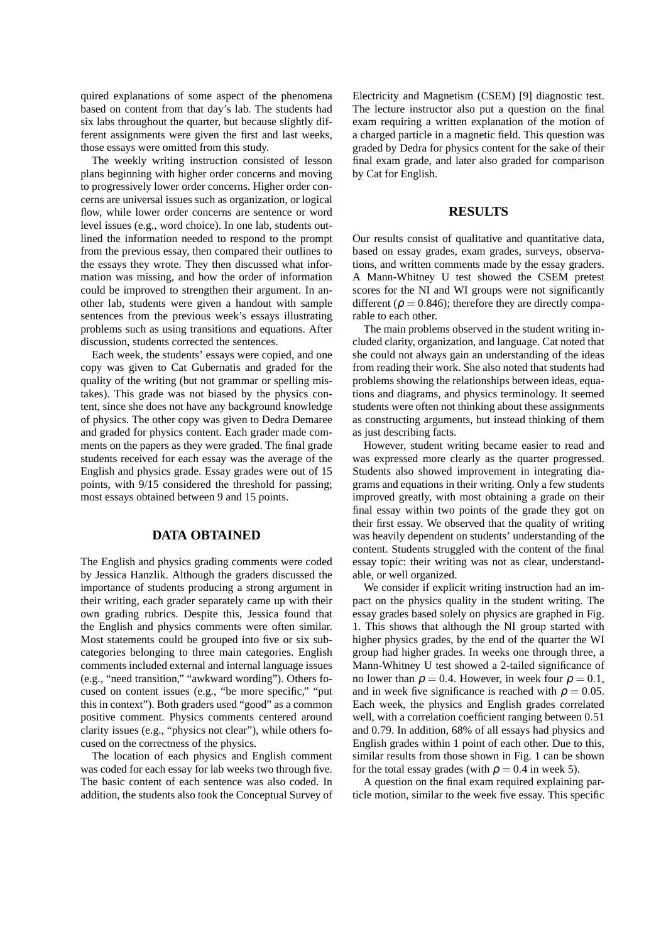quired explanations of some aspect of the phenomena based on content from that day's lab. The students had six labs throughout the quarter, but because slightly different assignments were given the first and last weeks, those essays were omitted from this study.

The weekly writing instruction consisted of lesson plans beginning with higher order concerns and moving to progressively lower order concerns. Higher order concerns are universal issues such as organization, or logical flow, while lower order concerns are sentence or word level issues (e.g., word choice). In one lab, students outlined the information needed to respond to the prompt from the previous essay, then compared their outlines to the essays they wrote. They then discussed what information was missing, and how the order of information could be improved to strengthen their argument. In another lab, students were given a handout with sample sentences from the previous week's essays illustrating problems such as using transitions and equations. After discussion, students corrected the sentences.

Each week, the students' essays were copied, and one copy was given to Cat Gubernatis and graded for the quality of the writing (but not grammar or spelling mistakes). This grade was not biased by the physics content, since she does not have any background knowledge of physics. The other copy was given to Dedra Demaree and graded for physics content. Each grader made comments on the papers as they were graded. The final grade students received for each essay was the average of the English and physics grade. Essay grades were out of 15 points, with 9/15 considered the threshold for passing; most essays obtained between 9 and 15 points.

#### **DATA OBTAINED**

The English and physics grading comments were coded by Jessica Hanzlik. Although the graders discussed the importance of students producing a strong argument in their writing, each grader separately came up with their own grading rubrics. Despite this, Jessica found that the English and physics comments were often similar. Most statements could be grouped into five or six subcategories belonging to three main categories. English comments included external and internal language issues (e.g., "need transition," "awkward wording"). Others focused on content issues (e.g., "be more specific," "put this in context"). Both graders used "good" as a common positive comment. Physics comments centered around clarity issues (e.g., "physics not clear"), while others focused on the correctness of the physics.

The location of each physics and English comment was coded for each essay for lab weeks two through five. The basic content of each sentence was also coded. In addition, the students also took the Conceptual Survey of Electricity and Magnetism (CSEM) [9] diagnostic test. The lecture instructor also put a question on the final exam requiring a written explanation of the motion of a charged particle in a magnetic field. This question was graded by Dedra for physics content for the sake of their final exam grade, and later also graded for comparison by Cat for English.

#### **RESULTS**

Our results consist of qualitative and quantitative data, based on essay grades, exam grades, surveys, observations, and written comments made by the essay graders. A Mann-Whitney U test showed the CSEM pretest scores for the NI and WI groups were not significantly different ( $\rho = 0.846$ ); therefore they are directly comparable to each other.

The main problems observed in the student writing included clarity, organization, and language. Cat noted that she could not always gain an understanding of the ideas from reading their work. She also noted that students had problems showing the relationships between ideas, equations and diagrams, and physics terminology. It seemed students were often not thinking about these assignments as constructing arguments, but instead thinking of them as just describing facts.

However, student writing became easier to read and was expressed more clearly as the quarter progressed. Students also showed improvement in integrating diagrams and equations in their writing. Only a few students improved greatly, with most obtaining a grade on their final essay within two points of the grade they got on their first essay. We observed that the quality of writing was heavily dependent on students' understanding of the content. Students struggled with the content of the final essay topic: their writing was not as clear, understandable, or well organized.

We consider if explicit writing instruction had an impact on the physics quality in the student writing. The essay grades based solely on physics are graphed in Fig. 1. This shows that although the NI group started with higher physics grades, by the end of the quarter the WI group had higher grades. In weeks one through three, a Mann-Whitney U test showed a 2-tailed significance of no lower than  $\rho = 0.4$ . However, in week four  $\rho = 0.1$ , and in week five significance is reached with  $\rho = 0.05$ . Each week, the physics and English grades correlated well, with a correlation coefficient ranging between 0.51 and 0.79. In addition, 68% of all essays had physics and English grades within 1 point of each other. Due to this, similar results from those shown in Fig. 1 can be shown for the total essay grades (with  $\rho = 0.4$  in week 5).

A question on the final exam required explaining particle motion, similar to the week five essay. This specific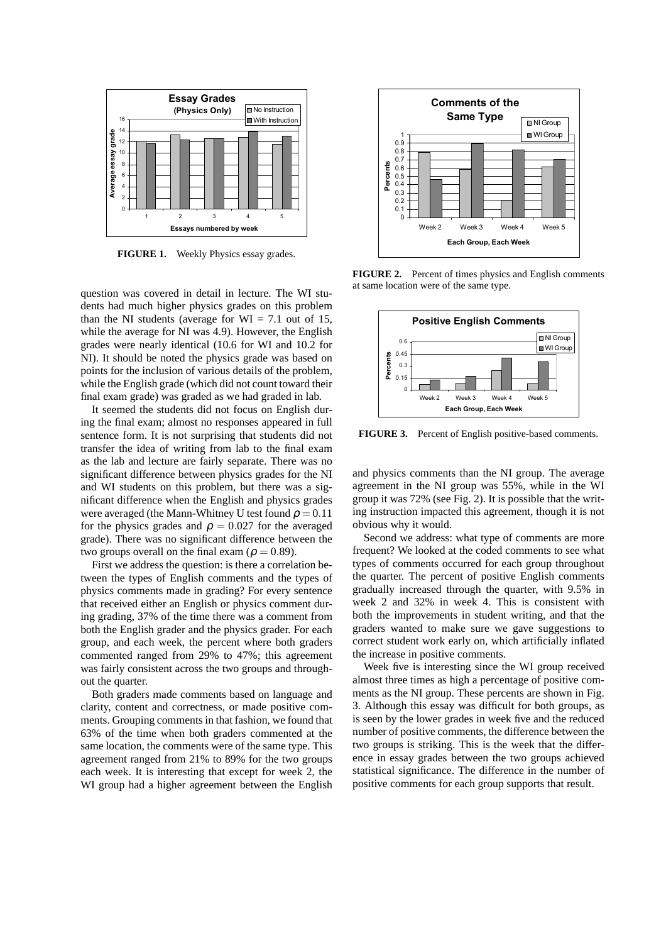

**FIGURE 1.** Weekly Physics essay grades.

question was covered in detail in lecture. The WI students had much higher physics grades on this problem than the NI students (average for  $WI = 7.1$  out of 15, while the average for NI was 4.9). However, the English grades were nearly identical (10.6 for WI and 10.2 for NI). It should be noted the physics grade was based on points for the inclusion of various details of the problem, while the English grade (which did not count toward their final exam grade) was graded as we had graded in lab.

It seemed the students did not focus on English during the final exam; almost no responses appeared in full sentence form. It is not surprising that students did not transfer the idea of writing from lab to the final exam as the lab and lecture are fairly separate. There was no significant difference between physics grades for the NI and WI students on this problem, but there was a significant difference when the English and physics grades were averaged (the Mann-Whitney U test found  $\rho = 0.11$ for the physics grades and  $\rho = 0.027$  for the averaged grade). There was no significant difference between the two groups overall on the final exam ( $\rho = 0.89$ ).

First we address the question: is there a correlation between the types of English comments and the types of physics comments made in grading? For every sentence that received either an English or physics comment during grading, 37% of the time there was a comment from both the English grader and the physics grader. For each group, and each week, the percent where both graders commented ranged from 29% to 47%; this agreement was fairly consistent across the two groups and throughout the quarter.

Both graders made comments based on language and clarity, content and correctness, or made positive comments. Grouping comments in that fashion, we found that 63% of the time when both graders commented at the same location, the comments were of the same type. This agreement ranged from 21% to 89% for the two groups each week. It is interesting that except for week 2, the WI group had a higher agreement between the English



**FIGURE 2.** Percent of times physics and English comments at same location were of the same type.



**FIGURE 3.** Percent of English positive-based comments.

and physics comments than the NI group. The average agreement in the NI group was 55%, while in the WI group it was 72% (see Fig. 2). It is possible that the writing instruction impacted this agreement, though it is not obvious why it would.

Second we address: what type of comments are more frequent? We looked at the coded comments to see what types of comments occurred for each group throughout the quarter. The percent of positive English comments gradually increased through the quarter, with 9.5% in week 2 and 32% in week 4. This is consistent with both the improvements in student writing, and that the graders wanted to make sure we gave suggestions to correct student work early on, which artificially inflated the increase in positive comments.

Week five is interesting since the WI group received almost three times as high a percentage of positive comments as the NI group. These percents are shown in Fig. 3. Although this essay was difficult for both groups, as is seen by the lower grades in week five and the reduced number of positive comments, the difference between the two groups is striking. This is the week that the difference in essay grades between the two groups achieved statistical significance. The difference in the number of positive comments for each group supports that result.